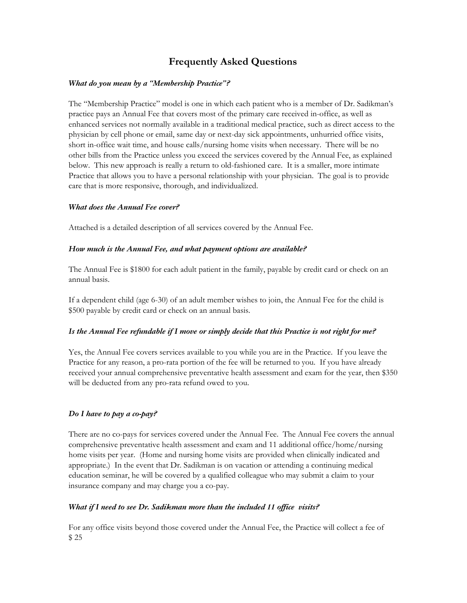# **Frequently Asked Questions**

## *What do you mean by a "Membership Practice"?*

The "Membership Practice" model is one in which each patient who is a member of Dr. Sadikman's practice pays an Annual Fee that covers most of the primary care received in-office, as well as enhanced services not normally available in a traditional medical practice, such as direct access to the physician by cell phone or email, same day or next-day sick appointments, unhurried office visits, short in-office wait time, and house calls/nursing home visits when necessary. There will be no other bills from the Practice unless you exceed the services covered by the Annual Fee, as explained below. This new approach is really a return to old-fashioned care. It is a smaller, more intimate Practice that allows you to have a personal relationship with your physician. The goal is to provide care that is more responsive, thorough, and individualized.

## *What does the Annual Fee cover?*

Attached is a detailed description of all services covered by the Annual Fee.

#### *How much is the Annual Fee, and what payment options are available?*

The Annual Fee is \$1800 for each adult patient in the family, payable by credit card or check on an annual basis.

If a dependent child (age 6-30) of an adult member wishes to join, the Annual Fee for the child is \$500 payable by credit card or check on an annual basis.

## Is the Annual Fee refundable if I move or simply decide that this Practice is not right for me?

Yes, the Annual Fee covers services available to you while you are in the Practice. If you leave the Practice for any reason, a pro-rata portion of the fee will be returned to you. If you have already received your annual comprehensive preventative health assessment and exam for the year, then \$350 will be deducted from any pro-rata refund owed to you.

## *Do I have to pay a co-pay?*

There are no co-pays for services covered under the Annual Fee. The Annual Fee covers the annual comprehensive preventative health assessment and exam and 11 additional office/home/nursing home visits per year. (Home and nursing home visits are provided when clinically indicated and appropriate.) In the event that Dr. Sadikman is on vacation or attending a continuing medical education seminar, he will be covered by a qualified colleague who may submit a claim to your insurance company and may charge you a co-pay.

## *What if I need to see Dr. Sadikman more than the included 11 of ice visits?*

For any office visits beyond those covered under the Annual Fee, the Practice will collect a fee of \$ 25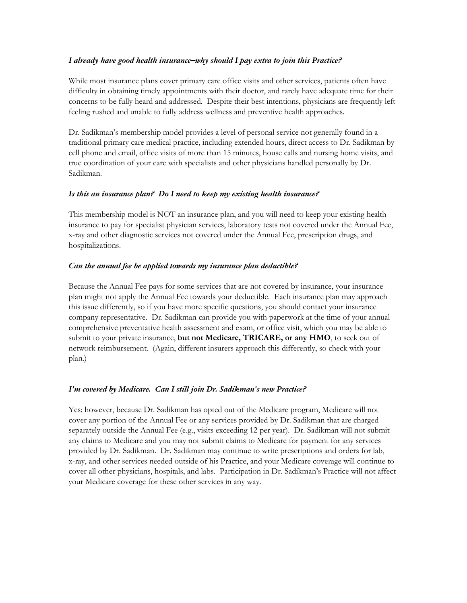#### *I already have good health insurance–why should I pay extra to join this Practice?*

While most insurance plans cover primary care office visits and other services, patients often have difficulty in obtaining timely appointments with their doctor, and rarely have adequate time for their concerns to be fully heard and addressed. Despite their best intentions, physicians are frequently left feeling rushed and unable to fully address wellness and preventive health approaches.

Dr. Sadikman's membership model provides a level of personal service not generally found in a traditional primary care medical practice, including extended hours, direct access to Dr. Sadikman by cell phone and email, office visits of more than 15 minutes, house calls and nursing home visits, and true coordination of your care with specialists and other physicians handled personally by Dr. Sadikman.

#### *Is this an insurance plan? Do I need to keep my existing health insurance?*

This membership model is NOT an insurance plan, and you will need to keep your existing health insurance to pay for specialist physician services, laboratory tests not covered under the Annual Fee, x-ray and other diagnostic services not covered under the Annual Fee, prescription drugs, and hospitalizations.

#### *Can the annual fee be applied towards my insurance plan deductible?*

Because the Annual Fee pays for some services that are not covered by insurance, your insurance plan might not apply the Annual Fee towards your deductible. Each insurance plan may approach this issue differently, so if you have more specific questions, you should contact your insurance company representative. Dr. Sadikman can provide you with paperwork at the time of your annual comprehensive preventative health assessment and exam, or office visit, which you may be able to submit to your private insurance, **but not Medicare, TRICARE, or any HMO**, to seek out of network reimbursement. (Again, different insurers approach this differently, so check with your plan.)

#### *I'm covered by Medicare. Can I still join Dr. Sadikman's new Practice?*

Yes; however, because Dr. Sadikman has opted out of the Medicare program, Medicare will not cover any portion of the Annual Fee or any services provided by Dr. Sadikman that are charged separately outside the Annual Fee (e.g., visits exceeding 12 per year). Dr. Sadikman will not submit any claims to Medicare and you may not submit claims to Medicare for payment for any services provided by Dr. Sadikman. Dr. Sadikman may continue to write prescriptions and orders for lab, x-ray, and other services needed outside of his Practice, and your Medicare coverage will continue to cover all other physicians, hospitals, and labs. Participation in Dr. Sadikman's Practice will not affect your Medicare coverage for these other services in any way.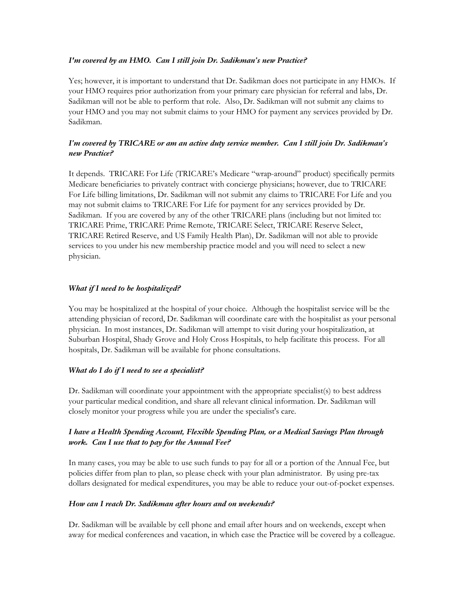#### *I'm covered by an HMO. Can I still join Dr. Sadikman's new Practice?*

Yes; however, it is important to understand that Dr. Sadikman does not participate in any HMOs. If your HMO requires prior authorization from your primary care physician for referral and labs, Dr. Sadikman will not be able to perform that role. Also, Dr. Sadikman will not submit any claims to your HMO and you may not submit claims to your HMO for payment any services provided by Dr. Sadikman.

# *I'm covered by TRICARE or am an active duty service member. Can I still join Dr. Sadikman's new Practice?*

It depends. TRICARE For Life (TRICARE's Medicare "wrap-around" product) specifically permits Medicare beneficiaries to privately contract with concierge physicians; however, due to TRICARE For Life billing limitations, Dr. Sadikman will not submit any claims to TRICARE For Life and you may not submit claims to TRICARE For Life for payment for any services provided by Dr. Sadikman. If you are covered by any of the other TRICARE plans (including but not limited to: TRICARE Prime, TRICARE Prime Remote, TRICARE Select, TRICARE Reserve Select, TRICARE Retired Reserve, and US Family Health Plan), Dr. Sadikman will not able to provide services to you under his new membership practice model and you will need to select a new physician.

## *What if I need to be hospitalized?*

You may be hospitalized at the hospital of your choice. Although the hospitalist service will be the attending physician of record, Dr. Sadikman will coordinate care with the hospitalist as your personal physician. In most instances, Dr. Sadikman will attempt to visit during your hospitalization, at Suburban Hospital, Shady Grove and Holy Cross Hospitals, to help facilitate this process. For all hospitals, Dr. Sadikman will be available for phone consultations.

#### *What do I do if I need to see a specialist?*

Dr. Sadikman will coordinate your appointment with the appropriate specialist(s) to best address your particular medical condition, and share all relevant clinical information. Dr. Sadikman will closely monitor your progress while you are under the specialist's care.

# *I have a Health Spending Account, Flexible Spending Plan, or a Medical Savings Plan through work. Can I use that to pay for the Annual Fee?*

In many cases, you may be able to use such funds to pay for all or a portion of the Annual Fee, but policies differ from plan to plan, so please check with your plan administrator. By using pre-tax dollars designated for medical expenditures, you may be able to reduce your out-of-pocket expenses.

#### *How can I reach Dr. Sadikman after hours and on weekends?*

Dr. Sadikman will be available by cell phone and email after hours and on weekends, except when away for medical conferences and vacation, in which case the Practice will be covered by a colleague.